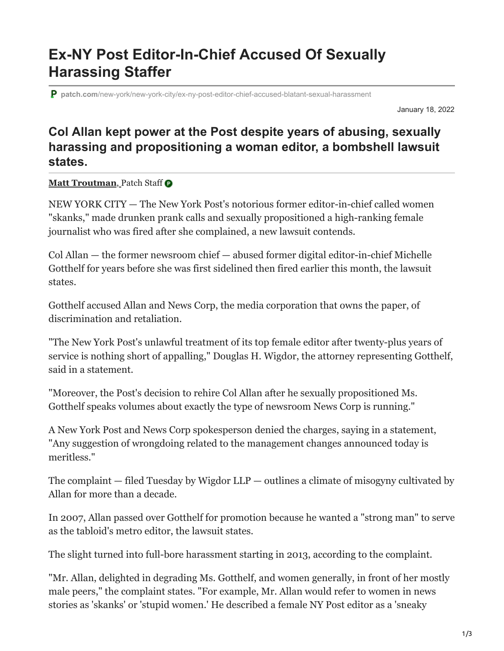## **Ex-NY Post Editor-In-Chief Accused Of Sexually Harassing Staffer**

**patch.com**[/new-york/new-york-city/ex-ny-post-editor-chief-accused-blatant-sexual-harassment](https://patch.com/new-york/new-york-city/ex-ny-post-editor-chief-accused-blatant-sexual-harassment)

January 18, 2022

## **Col Allan kept power at the Post despite years of abusing, sexually harassing and propositioning a woman editor, a bombshell lawsuit states.**

**[Matt Troutman](https://patch.com/users/matt-troutman)**, Patch Staff

NEW YORK CITY — The New York Post's notorious former editor-in-chief called women "skanks," made drunken prank calls and sexually propositioned a high-ranking female journalist who was fired after she complained, a new lawsuit contends.

Col Allan — the former newsroom chief — abused former digital editor-in-chief Michelle Gotthelf for years before she was first sidelined then fired earlier this month, the lawsuit states.

Gotthelf accused Allan and News Corp, the media corporation that owns the paper, of discrimination and retaliation.

"The New York Post's unlawful treatment of its top female editor after twenty-plus years of service is nothing short of appalling," Douglas H. Wigdor, the attorney representing Gotthelf, said in a statement.

"Moreover, the Post's decision to rehire Col Allan after he sexually propositioned Ms. Gotthelf speaks volumes about exactly the type of newsroom News Corp is running."

A New York Post and News Corp spokesperson denied the charges, saying in a statement, "Any suggestion of wrongdoing related to the management changes announced today is meritless."

The complaint  $-$  filed Tuesday by Wigdor LLP  $-$  outlines a climate of misogyny cultivated by Allan for more than a decade.

In 2007, Allan passed over Gotthelf for promotion because he wanted a "strong man" to serve as the tabloid's metro editor, the lawsuit states.

The slight turned into full-bore harassment starting in 2013, according to the complaint.

"Mr. Allan, delighted in degrading Ms. Gotthelf, and women generally, in front of her mostly male peers," the complaint states. "For example, Mr. Allan would refer to women in news stories as 'skanks' or 'stupid women.' He described a female NY Post editor as a 'sneaky